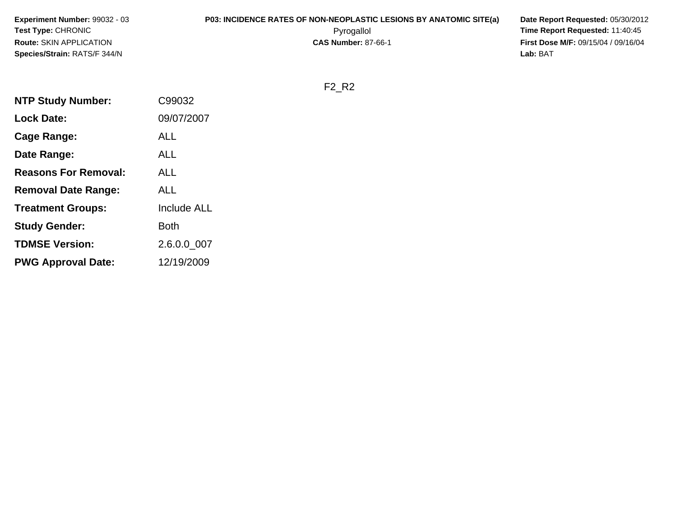| <b>Experiment Number: 99032 - 03</b> | <b>P03: INCIDENCE RATES OF NON-NEOPLASTIC LESIONS BY ANATOMIC SITE(a)</b> | Date Report Requested: 05/30/2012          |
|--------------------------------------|---------------------------------------------------------------------------|--------------------------------------------|
| <b>Test Type: CHRONIC</b>            | Pyrogallol                                                                | Time Report Requested: 11:40:45            |
| Route: SKIN APPLICATION              | <b>CAS Number: 87-66-1</b>                                                | <b>First Dose M/F: 09/15/04 / 09/16/04</b> |
| <b>Species/Strain: RATS/F 344/N</b>  |                                                                           | Lab: BAT                                   |

F2\_R2

| <b>NTP Study Number:</b>    | C99032             |
|-----------------------------|--------------------|
| <b>Lock Date:</b>           | 09/07/2007         |
| Cage Range:                 | <b>ALL</b>         |
| Date Range:                 | AI I               |
| <b>Reasons For Removal:</b> | ALL                |
| <b>Removal Date Range:</b>  | ALL                |
| <b>Treatment Groups:</b>    | <b>Include ALL</b> |
| <b>Study Gender:</b>        | Both               |
| <b>TDMSE Version:</b>       | 2.6.0.0 007        |
| <b>PWG Approval Date:</b>   | 12/19/2009         |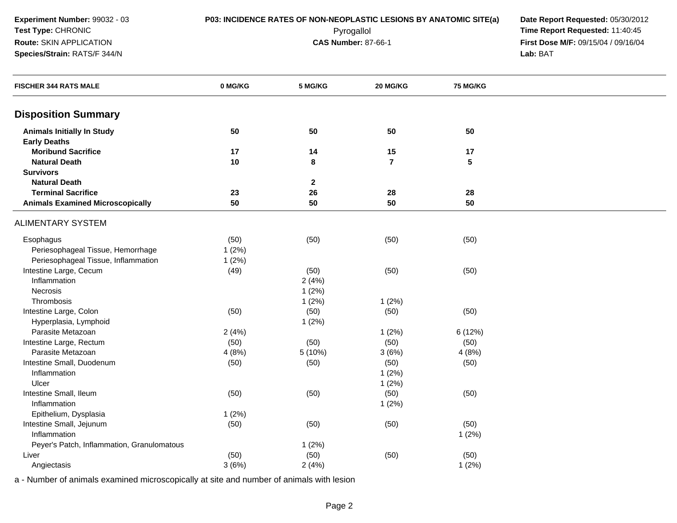**Species/Strain:** RATS/F 344/N

**P03: INCIDENCE RATES OF NON-NEOPLASTIC LESIONS BY ANATOMIC SITE(a) Date Report Requested: 05/30/2012<br><b>Pyrogallol** Pyrogallol **Fine Report Requested:** 11:40:45 Pyrogallol **Time Report Requested:** 11:40:45 **First Dose M/F:** 09/15/04 / 09/16/04<br>Lab: BAT **Lab:** BAT

| <b>FISCHER 344 RATS MALE</b>               | 0 MG/KG | 5 MG/KG      | 20 MG/KG       | <b>75 MG/KG</b> |  |
|--------------------------------------------|---------|--------------|----------------|-----------------|--|
| <b>Disposition Summary</b>                 |         |              |                |                 |  |
| <b>Animals Initially In Study</b>          | 50      | 50           | 50             | 50              |  |
| <b>Early Deaths</b>                        |         |              |                |                 |  |
| <b>Moribund Sacrifice</b>                  | 17      | 14           | 15             | 17              |  |
| <b>Natural Death</b>                       | 10      | 8            | $\overline{7}$ | $5\phantom{1}$  |  |
| <b>Survivors</b>                           |         |              |                |                 |  |
| <b>Natural Death</b>                       |         | $\mathbf{2}$ |                |                 |  |
| <b>Terminal Sacrifice</b>                  | 23      | 26           | 28             | 28              |  |
| <b>Animals Examined Microscopically</b>    | 50      | 50           | 50             | 50              |  |
| <b>ALIMENTARY SYSTEM</b>                   |         |              |                |                 |  |
| Esophagus                                  | (50)    | (50)         | (50)           | (50)            |  |
| Periesophageal Tissue, Hemorrhage          | 1(2%)   |              |                |                 |  |
| Periesophageal Tissue, Inflammation        | 1(2%)   |              |                |                 |  |
| Intestine Large, Cecum                     | (49)    | (50)         | (50)           | (50)            |  |
| Inflammation                               |         | 2(4%)        |                |                 |  |
| Necrosis                                   |         | 1(2%)        |                |                 |  |
| Thrombosis                                 |         | 1(2%)        | 1(2%)          |                 |  |
| Intestine Large, Colon                     | (50)    | (50)         | (50)           | (50)            |  |
| Hyperplasia, Lymphoid                      |         | 1(2%)        |                |                 |  |
| Parasite Metazoan                          | 2(4%)   |              | 1(2%)          | 6(12%)          |  |
| Intestine Large, Rectum                    | (50)    | (50)         | (50)           | (50)            |  |
| Parasite Metazoan                          | 4(8%)   | 5 (10%)      | 3(6%)          | 4(8%)           |  |
| Intestine Small, Duodenum                  | (50)    | (50)         | (50)           | (50)            |  |
| Inflammation                               |         |              | 1(2%)          |                 |  |
| Ulcer                                      |         |              | 1(2%)          |                 |  |
| Intestine Small, Ileum                     | (50)    | (50)         | (50)           | (50)            |  |
| Inflammation                               |         |              | 1(2%)          |                 |  |
| Epithelium, Dysplasia                      | 1(2%)   |              |                |                 |  |
| Intestine Small, Jejunum                   | (50)    | (50)         | (50)           | (50)            |  |
| Inflammation                               |         |              |                | 1(2%)           |  |
| Peyer's Patch, Inflammation, Granulomatous |         | 1(2%)        |                |                 |  |
| Liver                                      | (50)    | (50)         | (50)           | (50)            |  |
| Angiectasis                                | 3(6%)   | 2(4%)        |                | 1(2%)           |  |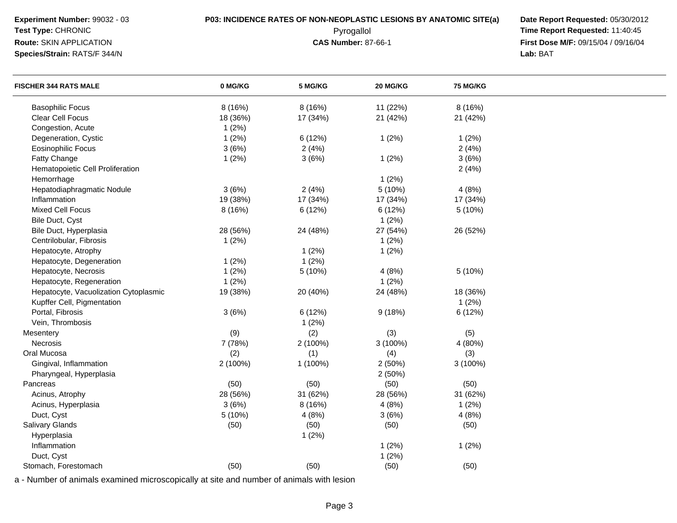**Experiment Number:** 99032 - 03**P03: INCIDENCE RATES OF NON-NEOPLASTIC LESIONS BY ANATOMIC SITE(a) Date Report Requested: 05/30/2012<br><b>Pyrogallol** Pyrogallol **Fine Report Requested:** 11:40:45 **Test Type:** CHRONIC Pyrogallol **Time Report Requested:** 11:40:45 **Route:** SKIN APPLICATION**Species/Strain:** RATS/F 344/N**Lab:** BAT

**First Dose M/F:** 09/15/04 / 09/16/04<br>Lab: BAT

| <b>FISCHER 344 RATS MALE</b>          | 0 MG/KG  | 5 MG/KG  | 20 MG/KG | <b>75 MG/KG</b> |  |
|---------------------------------------|----------|----------|----------|-----------------|--|
| <b>Basophilic Focus</b>               | 8 (16%)  | 8 (16%)  | 11 (22%) | 8 (16%)         |  |
| Clear Cell Focus                      | 18 (36%) | 17 (34%) | 21 (42%) | 21 (42%)        |  |
| Congestion, Acute                     | 1(2%)    |          |          |                 |  |
| Degeneration, Cystic                  | 1(2%)    | 6(12%)   | 1(2%)    | 1(2%)           |  |
| <b>Eosinophilic Focus</b>             | 3(6%)    | 2(4%)    |          | 2(4%)           |  |
| Fatty Change                          | 1(2%)    | 3(6%)    | 1(2%)    | 3(6%)           |  |
| Hematopoietic Cell Proliferation      |          |          |          | 2(4%)           |  |
| Hemorrhage                            |          |          | 1(2%)    |                 |  |
| Hepatodiaphragmatic Nodule            | 3(6%)    | 2(4%)    | 5(10%)   | 4(8%)           |  |
| Inflammation                          | 19 (38%) | 17 (34%) | 17 (34%) | 17 (34%)        |  |
| <b>Mixed Cell Focus</b>               | 8 (16%)  | 6 (12%)  | 6(12%)   | 5(10%)          |  |
| Bile Duct, Cyst                       |          |          | 1(2%)    |                 |  |
| Bile Duct, Hyperplasia                | 28 (56%) | 24 (48%) | 27 (54%) | 26 (52%)        |  |
| Centrilobular, Fibrosis               | 1(2%)    |          | 1(2%)    |                 |  |
| Hepatocyte, Atrophy                   |          | 1(2%)    | 1(2%)    |                 |  |
| Hepatocyte, Degeneration              | 1(2%)    | 1(2%)    |          |                 |  |
| Hepatocyte, Necrosis                  | 1(2%)    | 5 (10%)  | 4(8%)    | 5 (10%)         |  |
| Hepatocyte, Regeneration              | 1(2%)    |          | 1(2%)    |                 |  |
| Hepatocyte, Vacuolization Cytoplasmic | 19 (38%) | 20 (40%) | 24 (48%) | 18 (36%)        |  |
| Kupffer Cell, Pigmentation            |          |          |          | 1(2%)           |  |
| Portal, Fibrosis                      | 3(6%)    | 6(12%)   | 9(18%)   | 6 (12%)         |  |
| Vein, Thrombosis                      |          | 1(2%)    |          |                 |  |
| Mesentery                             | (9)      | (2)      | (3)      | (5)             |  |
| Necrosis                              | 7 (78%)  | 2 (100%) | 3 (100%) | 4 (80%)         |  |
| Oral Mucosa                           | (2)      | (1)      | (4)      | (3)             |  |
| Gingival, Inflammation                | 2 (100%) | 1 (100%) | 2(50%)   | $3(100\%)$      |  |
| Pharyngeal, Hyperplasia               |          |          | 2(50%)   |                 |  |
| Pancreas                              | (50)     | (50)     | (50)     | (50)            |  |
| Acinus, Atrophy                       | 28 (56%) | 31 (62%) | 28 (56%) | 31 (62%)        |  |
| Acinus, Hyperplasia                   | 3(6%)    | 8 (16%)  | 4(8%)    | 1(2%)           |  |
| Duct, Cyst                            | 5 (10%)  | 4(8%)    | 3(6%)    | 4(8%)           |  |
| <b>Salivary Glands</b>                | (50)     | (50)     | (50)     | (50)            |  |
| Hyperplasia                           |          | 1(2%)    |          |                 |  |
| Inflammation                          |          |          | 1(2%)    | 1(2%)           |  |
| Duct, Cyst                            |          |          | 1(2%)    |                 |  |
| Stomach, Forestomach                  | (50)     | (50)     | (50)     | (50)            |  |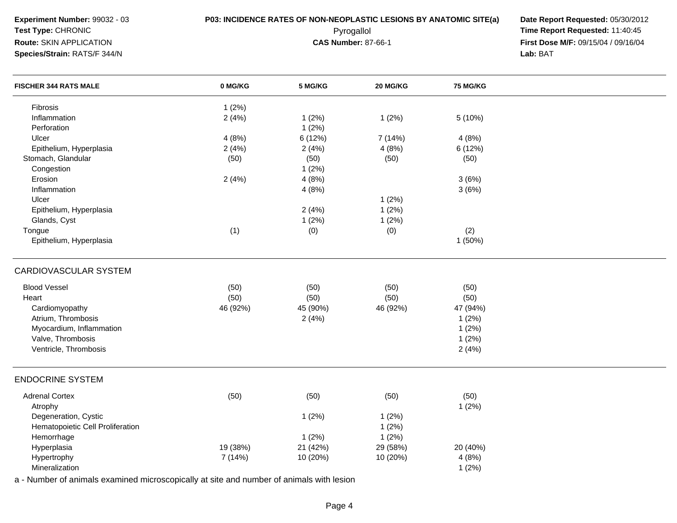### **Species/Strain:** RATS/F 344/N

**P03: INCIDENCE RATES OF NON-NEOPLASTIC LESIONS BY ANATOMIC SITE(a) Date Report Requested: 05/30/2012<br><b>Pyrogallol** Pyrogallol **Fine Report Requested:** 11:40:45 Pyrogallol **Time Report Requested:** 11:40:45 **First Dose M/F:** 09/15/04 / 09/16/04 Lab: BAT **Lab:** BAT

| <b>FISCHER 344 RATS MALE</b>     | 0 MG/KG  | 5 MG/KG  | 20 MG/KG | 75 MG/KG |  |
|----------------------------------|----------|----------|----------|----------|--|
| Fibrosis                         | 1(2%)    |          |          |          |  |
| Inflammation                     | 2(4%)    | 1(2%)    | 1(2%)    | 5(10%)   |  |
| Perforation                      |          | 1(2%)    |          |          |  |
| Ulcer                            | 4(8%)    | 6 (12%)  | 7 (14%)  | 4(8%)    |  |
| Epithelium, Hyperplasia          | 2(4%)    | 2(4%)    | 4(8%)    | 6 (12%)  |  |
| Stomach, Glandular               | (50)     | (50)     | (50)     | (50)     |  |
| Congestion                       |          | 1(2%)    |          |          |  |
| Erosion                          | 2(4%)    | 4(8%)    |          | 3(6%)    |  |
| Inflammation                     |          | 4(8%)    |          | 3(6%)    |  |
| Ulcer                            |          |          | 1(2%)    |          |  |
| Epithelium, Hyperplasia          |          | 2(4%)    | 1(2%)    |          |  |
| Glands, Cyst                     |          | 1(2%)    | 1(2%)    |          |  |
| Tongue                           | (1)      | (0)      | (0)      | (2)      |  |
| Epithelium, Hyperplasia          |          |          |          | 1(50%)   |  |
| CARDIOVASCULAR SYSTEM            |          |          |          |          |  |
| <b>Blood Vessel</b>              | (50)     | (50)     | (50)     | (50)     |  |
| Heart                            | (50)     | (50)     | (50)     | (50)     |  |
| Cardiomyopathy                   | 46 (92%) | 45 (90%) | 46 (92%) | 47 (94%) |  |
| Atrium, Thrombosis               |          | 2(4%)    |          | 1(2%)    |  |
| Myocardium, Inflammation         |          |          |          | 1(2%)    |  |
| Valve, Thrombosis                |          |          |          | 1(2%)    |  |
| Ventricle, Thrombosis            |          |          |          | 2(4%)    |  |
| <b>ENDOCRINE SYSTEM</b>          |          |          |          |          |  |
| <b>Adrenal Cortex</b>            | (50)     | (50)     | (50)     | (50)     |  |
| Atrophy                          |          |          |          | 1(2%)    |  |
| Degeneration, Cystic             |          | 1(2%)    | 1(2%)    |          |  |
| Hematopoietic Cell Proliferation |          |          | 1(2%)    |          |  |
| Hemorrhage                       |          | 1(2%)    | 1(2%)    |          |  |
| Hyperplasia                      | 19 (38%) | 21 (42%) | 29 (58%) | 20 (40%) |  |
| Hypertrophy                      | 7 (14%)  | 10 (20%) | 10 (20%) | 4(8%)    |  |
| Mineralization                   |          |          |          | 1(2%)    |  |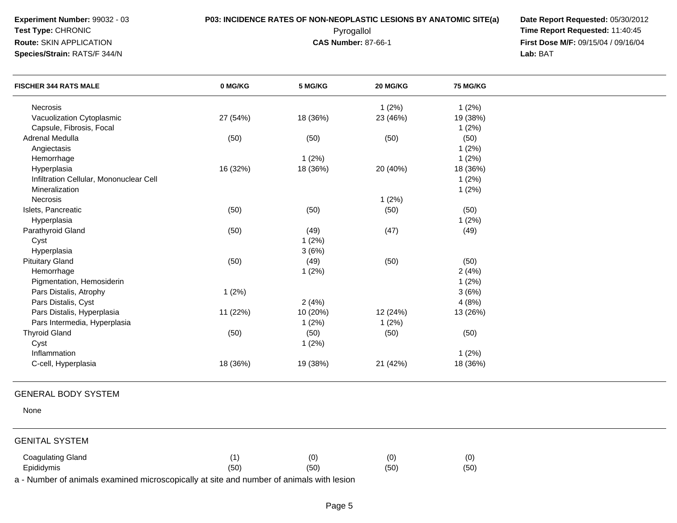**Species/Strain:** RATS/F 344/N

**P03: INCIDENCE RATES OF NON-NEOPLASTIC LESIONS BY ANATOMIC SITE(a) Date Report Requested: 05/30/2012<br><b>Pyrogallol** Pyrogallol **Fine Report Requested:** 11:40:45 Pyrogallol **Time Report Requested:** 11:40:45 **First Dose M/F:** 09/15/04 / 09/16/04 Lab: BAT **Lab:** BAT

| <b>FISCHER 344 RATS MALE</b>            | 0 MG/KG  | 5 MG/KG  | 20 MG/KG | <b>75 MG/KG</b> |  |
|-----------------------------------------|----------|----------|----------|-----------------|--|
| <b>Necrosis</b>                         |          |          | 1(2%)    | 1(2%)           |  |
| Vacuolization Cytoplasmic               | 27 (54%) | 18 (36%) | 23 (46%) | 19 (38%)        |  |
| Capsule, Fibrosis, Focal                |          |          |          | 1(2%)           |  |
| Adrenal Medulla                         | (50)     | (50)     | (50)     | (50)            |  |
| Angiectasis                             |          |          |          | $1(2\%)$        |  |
| Hemorrhage                              |          | 1(2%)    |          | 1(2%)           |  |
| Hyperplasia                             | 16 (32%) | 18 (36%) | 20 (40%) | 18 (36%)        |  |
| Infiltration Cellular, Mononuclear Cell |          |          |          | 1(2%)           |  |
| Mineralization                          |          |          |          | 1(2%)           |  |
| <b>Necrosis</b>                         |          |          | 1(2%)    |                 |  |
| Islets, Pancreatic                      | (50)     | (50)     | (50)     | (50)            |  |
| Hyperplasia                             |          |          |          | 1(2%)           |  |
| Parathyroid Gland                       | (50)     | (49)     | (47)     | (49)            |  |
| Cyst                                    |          | 1(2%)    |          |                 |  |
| Hyperplasia                             |          | 3(6%)    |          |                 |  |
| <b>Pituitary Gland</b>                  | (50)     | (49)     | (50)     | (50)            |  |
| Hemorrhage                              |          | 1(2%)    |          | 2(4%)           |  |
| Pigmentation, Hemosiderin               |          |          |          | 1(2%)           |  |
| Pars Distalis, Atrophy                  | 1(2%)    |          |          | 3(6%)           |  |
| Pars Distalis, Cyst                     |          | 2(4%)    |          | 4(8%)           |  |
| Pars Distalis, Hyperplasia              | 11 (22%) | 10 (20%) | 12 (24%) | 13 (26%)        |  |
| Pars Intermedia, Hyperplasia            |          | 1(2%)    | 1(2%)    |                 |  |
| <b>Thyroid Gland</b>                    | (50)     | (50)     | (50)     | (50)            |  |
| Cyst                                    |          | 1(2%)    |          |                 |  |
| Inflammation                            |          |          |          | 1(2%)           |  |
| C-cell, Hyperplasia                     | 18 (36%) | 19 (38%) | 21 (42%) | 18 (36%)        |  |
| <b>GENERAL BODY SYSTEM</b>              |          |          |          |                 |  |

None

### GENITAL SYSTEM

| Coagulating Gland |      | (0)  | (0   | (0) |
|-------------------|------|------|------|-----|
| Epididymis        | (50) | (50) | (50) | (50 |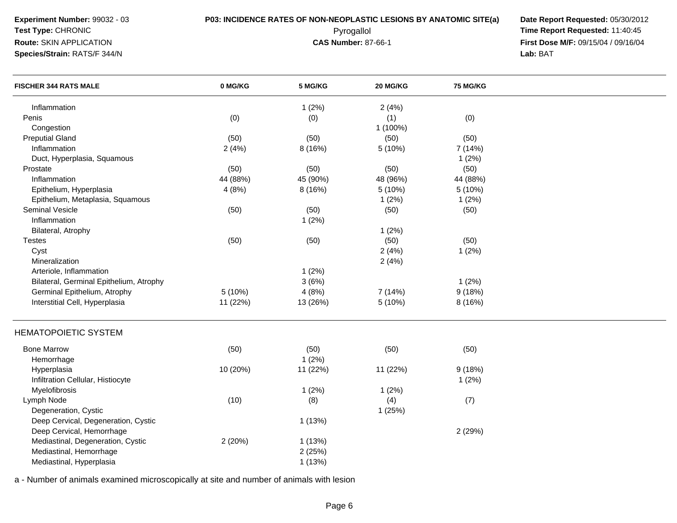**Experiment Number:** 99032 - 03**Test Type:** CHRONIC

**Route:** SKIN APPLICATION

**Species/Strain:** RATS/F 344/N

# **P03: INCIDENCE RATES OF NON-NEOPLASTIC LESIONS BY ANATOMIC SITE(a) Date Report Requested: 05/30/2012<br><b>Pyrogallol** Pyrogallol **Fine Report Requested:** 11:40:45

 Pyrogallol **Time Report Requested:** 11:40:45 **First Dose M/F:** 09/15/04 / 09/16/04 Lab: BAT **Lab:** BAT

| <b>FISCHER 344 RATS MALE</b>            | 0 MG/KG  | 5 MG/KG  | 20 MG/KG | 75 MG/KG |  |
|-----------------------------------------|----------|----------|----------|----------|--|
| Inflammation                            |          | 1(2%)    | 2(4%)    |          |  |
| Penis                                   | (0)      | (0)      | (1)      | (0)      |  |
| Congestion                              |          |          | 1 (100%) |          |  |
| <b>Preputial Gland</b>                  | (50)     | (50)     | (50)     | (50)     |  |
| Inflammation                            | 2(4%)    | 8 (16%)  | 5 (10%)  | 7 (14%)  |  |
| Duct, Hyperplasia, Squamous             |          |          |          | $1(2\%)$ |  |
| Prostate                                | (50)     | (50)     | (50)     | (50)     |  |
| Inflammation                            | 44 (88%) | 45 (90%) | 48 (96%) | 44 (88%) |  |
| Epithelium, Hyperplasia                 | 4(8%)    | 8 (16%)  | 5 (10%)  | 5 (10%)  |  |
| Epithelium, Metaplasia, Squamous        |          |          | 1(2%)    | 1(2%)    |  |
| <b>Seminal Vesicle</b>                  | (50)     | (50)     | (50)     | (50)     |  |
| Inflammation                            |          | 1(2%)    |          |          |  |
| Bilateral, Atrophy                      |          |          | 1(2%)    |          |  |
| <b>Testes</b>                           | (50)     | (50)     | (50)     | (50)     |  |
| Cyst                                    |          |          | 2(4%)    | 1(2%)    |  |
| Mineralization                          |          |          | 2(4%)    |          |  |
| Arteriole, Inflammation                 |          | 1(2%)    |          |          |  |
| Bilateral, Germinal Epithelium, Atrophy |          | 3(6%)    |          | 1(2%)    |  |
| Germinal Epithelium, Atrophy            | 5(10%)   | 4(8%)    | 7 (14%)  | 9(18%)   |  |
| Interstitial Cell, Hyperplasia          | 11 (22%) | 13 (26%) | 5 (10%)  | 8 (16%)  |  |
| <b>HEMATOPOIETIC SYSTEM</b>             |          |          |          |          |  |
| <b>Bone Marrow</b>                      | (50)     | (50)     | (50)     | (50)     |  |
| Hemorrhage                              |          | 1(2%)    |          |          |  |
| Hyperplasia                             | 10 (20%) | 11 (22%) | 11 (22%) | 9(18%)   |  |
| Infiltration Cellular, Histiocyte       |          |          |          | 1(2%)    |  |
| Myelofibrosis                           |          | 1(2%)    | 1(2%)    |          |  |
| Lymph Node                              | (10)     | (8)      | (4)      | (7)      |  |
| Degeneration, Cystic                    |          |          | 1(25%)   |          |  |
| Deep Cervical, Degeneration, Cystic     |          | 1(13%)   |          |          |  |
| Deep Cervical, Hemorrhage               |          |          |          | 2 (29%)  |  |
| Mediastinal, Degeneration, Cystic       | 2(20%)   | 1(13%)   |          |          |  |
| Mediastinal, Hemorrhage                 |          | 2(25%)   |          |          |  |
| Mediastinal, Hyperplasia                |          | 1(13%)   |          |          |  |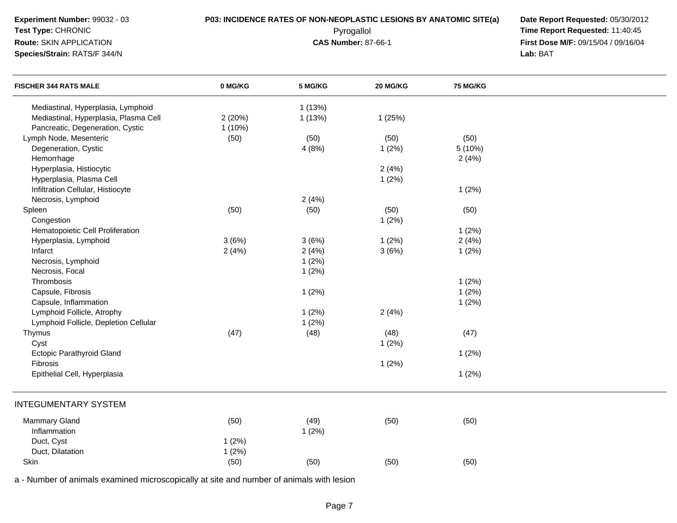**Experiment Number:** 99032 - 03

### **Test Type:** CHRONIC**Route:** SKIN APPLICATION

**Species/Strain:** RATS/F 344/N

**P03: INCIDENCE RATES OF NON-NEOPLASTIC LESIONS BY ANATOMIC SITE(a) Date Report Requested: 05/30/2012<br><b>Pyrogallol** Pyrogallol **Fine Report Requested:** 11:40:45 Pyrogallol **Time Report Requested:** 11:40:45 **First Dose M/F:** 09/15/04 / 09/16/04 Lab: BAT **Lab:** BAT

| <b>FISCHER 344 RATS MALE</b>          | 0 MG/KG   | 5 MG/KG | 20 MG/KG | <b>75 MG/KG</b> |  |
|---------------------------------------|-----------|---------|----------|-----------------|--|
| Mediastinal, Hyperplasia, Lymphoid    |           | 1(13%)  |          |                 |  |
| Mediastinal, Hyperplasia, Plasma Cell | 2(20%)    | 1(13%)  | 1(25%)   |                 |  |
| Pancreatic, Degeneration, Cystic      | $1(10\%)$ |         |          |                 |  |
| Lymph Node, Mesenteric                | (50)      | (50)    | (50)     | (50)            |  |
| Degeneration, Cystic                  |           | 4(8%)   | 1(2%)    | 5(10%)          |  |
| Hemorrhage                            |           |         |          | 2(4%)           |  |
| Hyperplasia, Histiocytic              |           |         | 2(4%)    |                 |  |
| Hyperplasia, Plasma Cell              |           |         | 1(2%)    |                 |  |
| Infiltration Cellular, Histiocyte     |           |         |          | 1(2%)           |  |
| Necrosis, Lymphoid                    |           | 2(4%)   |          |                 |  |
| Spleen                                | (50)      | (50)    | (50)     | (50)            |  |
| Congestion                            |           |         | 1(2%)    |                 |  |
| Hematopoietic Cell Proliferation      |           |         |          | 1(2%)           |  |
| Hyperplasia, Lymphoid                 | 3(6%)     | 3(6%)   | 1(2%)    | 2(4%)           |  |
| Infarct                               | 2(4%)     | 2(4%)   | 3(6%)    | 1(2%)           |  |
| Necrosis, Lymphoid                    |           | 1(2%)   |          |                 |  |
| Necrosis, Focal                       |           | 1(2%)   |          |                 |  |
| Thrombosis                            |           |         |          | 1(2%)           |  |
| Capsule, Fibrosis                     |           | 1(2%)   |          | 1(2%)           |  |
| Capsule, Inflammation                 |           |         |          | 1(2%)           |  |
| Lymphoid Follicle, Atrophy            |           | 1(2%)   | 2(4%)    |                 |  |
| Lymphoid Follicle, Depletion Cellular |           | 1(2%)   |          |                 |  |
| Thymus                                | (47)      | (48)    | (48)     | (47)            |  |
| Cyst                                  |           |         | 1(2%)    |                 |  |
| <b>Ectopic Parathyroid Gland</b>      |           |         |          | 1(2%)           |  |
| Fibrosis                              |           |         | 1(2%)    |                 |  |
| Epithelial Cell, Hyperplasia          |           |         |          | 1(2%)           |  |
| <b>INTEGUMENTARY SYSTEM</b>           |           |         |          |                 |  |
| <b>Mammary Gland</b>                  | (50)      | (49)    | (50)     | (50)            |  |
| Inflammation                          |           | 1(2%)   |          |                 |  |
| Duct, Cyst                            | 1(2%)     |         |          |                 |  |
| Duct, Dilatation                      | 1(2%)     |         |          |                 |  |
| Skin                                  | (50)      | (50)    | (50)     | (50)            |  |
|                                       |           |         |          |                 |  |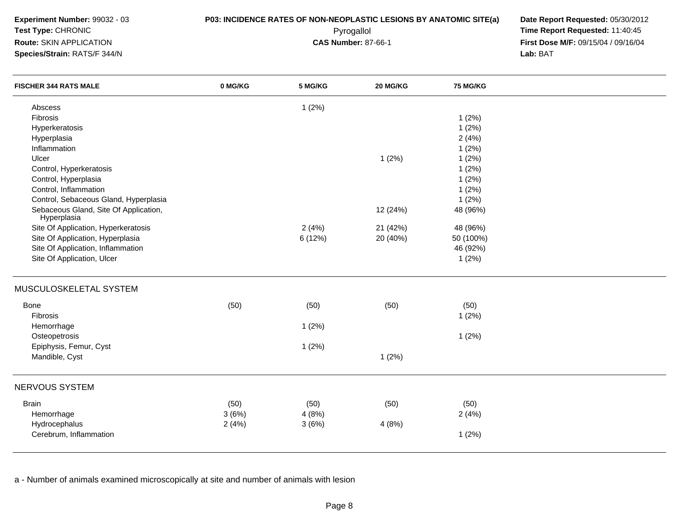**Experiment Number:** 99032 - 03**Test Type:** CHRONIC**Route:** SKIN APPLICATION**Species/Strain:** RATS/F 344/N

**P03: INCIDENCE RATES OF NON-NEOPLASTIC LESIONS BY ANATOMIC SITE(a) Date Report Requested: 05/30/2012<br><b>Pyrogallol** Pyrogallol **Fine Report Requested:** 11:40:45 Pyrogallol **Time Report Requested:** 11:40:45 **First Dose M/F:** 09/15/04 / 09/16/04 Lab: BAT **Lab:** BAT

| <b>FISCHER 344 RATS MALE</b>                         | 0 MG/KG       | 5 MG/KG       | 20 MG/KG | 75 MG/KG      |  |
|------------------------------------------------------|---------------|---------------|----------|---------------|--|
| Abscess                                              |               | 1(2%)         |          |               |  |
| Fibrosis                                             |               |               |          | 1(2%)         |  |
| Hyperkeratosis                                       |               |               |          | 1(2%)         |  |
| Hyperplasia                                          |               |               |          | 2(4%)         |  |
| Inflammation                                         |               |               |          | 1(2%)         |  |
| Ulcer                                                |               |               | 1(2%)    | 1(2%)         |  |
| Control, Hyperkeratosis                              |               |               |          | 1(2%)         |  |
| Control, Hyperplasia                                 |               |               |          | 1(2%)         |  |
| Control, Inflammation                                |               |               |          | 1(2%)         |  |
| Control, Sebaceous Gland, Hyperplasia                |               |               |          | 1(2%)         |  |
| Sebaceous Gland, Site Of Application,<br>Hyperplasia |               |               | 12 (24%) | 48 (96%)      |  |
| Site Of Application, Hyperkeratosis                  |               | 2(4%)         | 21 (42%) | 48 (96%)      |  |
| Site Of Application, Hyperplasia                     |               | 6 (12%)       | 20 (40%) | 50 (100%)     |  |
| Site Of Application, Inflammation                    |               |               |          | 46 (92%)      |  |
| Site Of Application, Ulcer                           |               |               |          | 1(2%)         |  |
| MUSCULOSKELETAL SYSTEM                               |               |               |          |               |  |
| Bone                                                 | (50)          | (50)          | (50)     | (50)          |  |
| Fibrosis                                             |               |               |          | 1(2%)         |  |
| Hemorrhage                                           |               | 1(2%)         |          |               |  |
| Osteopetrosis                                        |               |               |          | 1(2%)         |  |
| Epiphysis, Femur, Cyst                               |               | 1(2%)         |          |               |  |
| Mandible, Cyst                                       |               |               | 1(2%)    |               |  |
| NERVOUS SYSTEM                                       |               |               |          |               |  |
| <b>Brain</b>                                         |               |               |          |               |  |
| Hemorrhage                                           | (50)<br>3(6%) | (50)<br>4(8%) | (50)     | (50)<br>2(4%) |  |
| Hydrocephalus                                        | 2(4%)         | 3(6%)         | 4(8%)    |               |  |
| Cerebrum, Inflammation                               |               |               |          | 1(2%)         |  |
|                                                      |               |               |          |               |  |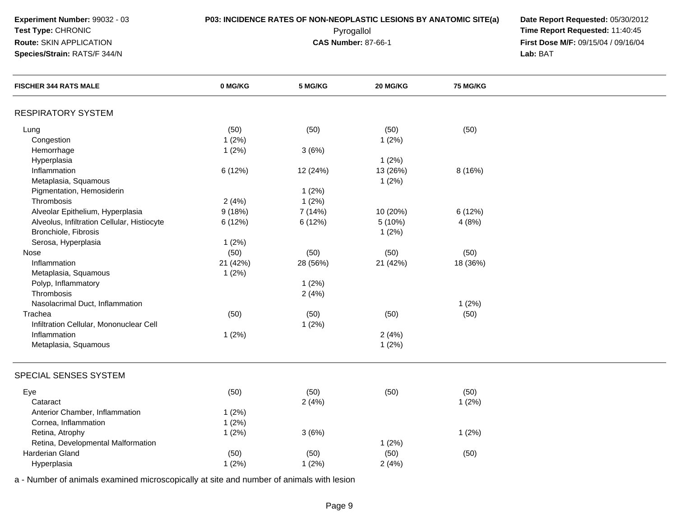| Experiment Number: 99032 - 03 |
|-------------------------------|
| <b>Test Type: CHRONIC</b>     |
| Route: SKIN APPLICATION       |

### **Species/Strain:** RATS/F 344/N

**P03: INCIDENCE RATES OF NON-NEOPLASTIC LESIONS BY ANATOMIC SITE(a) Date Report Requested: 05/30/2012<br><b>Pyrogallol** Pyrogallol **Fine Report Requested:** 11:40:45 Pyrogallol **Time Report Requested:** 11:40:45 **First Dose M/F:** 09/15/04 / 09/16/04<br>Lab: BAT **Lab:** BAT

| <b>FISCHER 344 RATS MALE</b>                | 0 MG/KG  | 5 MG/KG  | 20 MG/KG | <b>75 MG/KG</b> |  |
|---------------------------------------------|----------|----------|----------|-----------------|--|
| <b>RESPIRATORY SYSTEM</b>                   |          |          |          |                 |  |
| Lung                                        | (50)     | (50)     | (50)     | (50)            |  |
| Congestion                                  | 1(2%)    |          | 1(2%)    |                 |  |
| Hemorrhage                                  | 1(2%)    | 3(6%)    |          |                 |  |
| Hyperplasia                                 |          |          | 1(2%)    |                 |  |
| Inflammation                                | 6 (12%)  | 12 (24%) | 13 (26%) | 8 (16%)         |  |
| Metaplasia, Squamous                        |          |          | 1(2%)    |                 |  |
| Pigmentation, Hemosiderin                   |          | 1(2%)    |          |                 |  |
| Thrombosis                                  | 2(4%)    | 1(2%)    |          |                 |  |
| Alveolar Epithelium, Hyperplasia            | 9(18%)   | 7 (14%)  | 10 (20%) | 6(12%)          |  |
| Alveolus, Infiltration Cellular, Histiocyte | 6 (12%)  | 6 (12%)  | 5 (10%)  | 4(8%)           |  |
| Bronchiole, Fibrosis                        |          |          | 1(2%)    |                 |  |
| Serosa, Hyperplasia                         | 1(2%)    |          |          |                 |  |
| Nose                                        | (50)     | (50)     | (50)     | (50)            |  |
| Inflammation                                | 21 (42%) | 28 (56%) | 21 (42%) | 18 (36%)        |  |
| Metaplasia, Squamous                        | 1(2%)    |          |          |                 |  |
| Polyp, Inflammatory                         |          | 1(2%)    |          |                 |  |
| Thrombosis                                  |          | 2(4%)    |          |                 |  |
| Nasolacrimal Duct, Inflammation             |          |          |          | 1(2%)           |  |
| Trachea                                     | (50)     | (50)     | (50)     | (50)            |  |
| Infiltration Cellular, Mononuclear Cell     |          | 1(2%)    |          |                 |  |
| Inflammation                                | 1(2%)    |          | 2(4%)    |                 |  |
| Metaplasia, Squamous                        |          |          | 1(2%)    |                 |  |
| SPECIAL SENSES SYSTEM                       |          |          |          |                 |  |
| Eye                                         | (50)     | (50)     | (50)     | (50)            |  |
| Cataract                                    |          | 2(4%)    |          | 1(2%)           |  |
| Anterior Chamber, Inflammation              | 1(2%)    |          |          |                 |  |
| Cornea, Inflammation                        | 1(2%)    |          |          |                 |  |
| Retina, Atrophy                             | 1(2%)    | 3(6%)    |          | 1(2%)           |  |
| Retina, Developmental Malformation          |          |          | 1(2%)    |                 |  |
| Harderian Gland                             | (50)     | (50)     | (50)     | (50)            |  |
| Hyperplasia                                 | 1(2%)    | 1(2%)    | 2(4%)    |                 |  |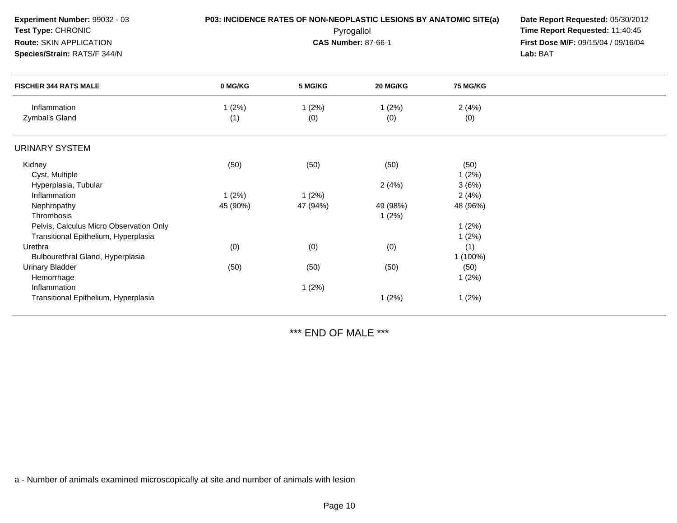| Experiment Number: 99032 - 03<br>Test Type: CHRONIC<br>Route: SKIN APPLICATION<br>Species/Strain: RATS/F 344/N |              |              | P03: INCIDENCE RATES OF NON-NEOPLASTIC LESIONS BY ANATOMIC SITE(a)<br>Pyrogallol<br><b>CAS Number: 87-66-1</b> |                 | Date Report Requested: 05/30/2012<br>Time Report Requested: 11:40:45<br>First Dose M/F: 09/15/04 / 09/16/04<br>Lab: BAT |
|----------------------------------------------------------------------------------------------------------------|--------------|--------------|----------------------------------------------------------------------------------------------------------------|-----------------|-------------------------------------------------------------------------------------------------------------------------|
| <b>FISCHER 344 RATS MALE</b>                                                                                   | 0 MG/KG      | 5 MG/KG      | 20 MG/KG                                                                                                       | <b>75 MG/KG</b> |                                                                                                                         |
| Inflammation<br>Zymbal's Gland                                                                                 | 1(2%)<br>(1) | 1(2%)<br>(0) | 1(2%)<br>(0)                                                                                                   | 2(4%)<br>(0)    |                                                                                                                         |
| <b>URINARY SYSTEM</b>                                                                                          |              |              |                                                                                                                |                 |                                                                                                                         |
| Kidney                                                                                                         | (50)         | (50)         | (50)                                                                                                           | (50)            |                                                                                                                         |
| Cyst, Multiple<br>Hyperplasia, Tubular                                                                         |              |              | 2(4%)                                                                                                          | 1(2%)<br>3(6%)  |                                                                                                                         |
| Inflammation                                                                                                   | 1(2%)        | 1(2%)        |                                                                                                                | 2(4%)           |                                                                                                                         |
| Nephropathy                                                                                                    | 45 (90%)     | 47 (94%)     | 49 (98%)                                                                                                       | 48 (96%)        |                                                                                                                         |
| Thrombosis                                                                                                     |              |              | 1(2%)                                                                                                          |                 |                                                                                                                         |
| Pelvis, Calculus Micro Observation Only                                                                        |              |              |                                                                                                                | 1(2%)           |                                                                                                                         |
| Transitional Epithelium, Hyperplasia                                                                           |              |              |                                                                                                                | 1(2%)           |                                                                                                                         |
| Urethra                                                                                                        | (0)          | (0)          | (0)                                                                                                            | (1)             |                                                                                                                         |
| Bulbourethral Gland, Hyperplasia                                                                               |              |              |                                                                                                                | 1 (100%)        |                                                                                                                         |
| <b>Urinary Bladder</b>                                                                                         | (50)         | (50)         | (50)                                                                                                           | (50)            |                                                                                                                         |
| Hemorrhage                                                                                                     |              |              |                                                                                                                | 1(2%)           |                                                                                                                         |
| Inflammation                                                                                                   |              | 1(2%)        |                                                                                                                |                 |                                                                                                                         |
| Transitional Epithelium, Hyperplasia                                                                           |              |              | 1(2%)                                                                                                          | 1(2%)           |                                                                                                                         |

\*\*\* END OF MALE \*\*\*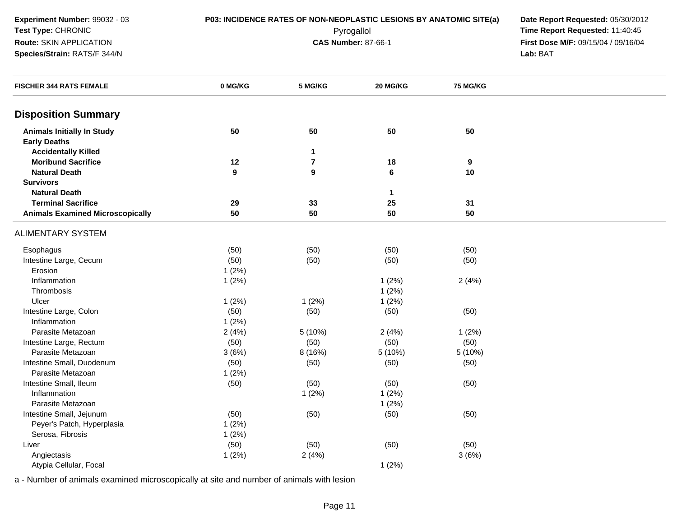### **Species/Strain:** RATS/F 344/N

**P03: INCIDENCE RATES OF NON-NEOPLASTIC LESIONS BY ANATOMIC SITE(a) Date Report Requested: 05/30/2012<br><b>Pyrogallol** Pyrogallol **Fine Report Requested:** 11:40:45 Pyrogallol **Time Report Requested:** 11:40:45 **First Dose M/F:** 09/15/04 / 09/16/04<br>Lab: BAT **Lab:** BAT

| <b>FISCHER 344 RATS FEMALE</b>          | 0 MG/KG          | 5 MG/KG          | 20 MG/KG     | 75 MG/KG         |  |
|-----------------------------------------|------------------|------------------|--------------|------------------|--|
| <b>Disposition Summary</b>              |                  |                  |              |                  |  |
| <b>Animals Initially In Study</b>       | 50               | 50               | 50           | 50               |  |
| <b>Early Deaths</b>                     |                  |                  |              |                  |  |
| <b>Accidentally Killed</b>              |                  | 1                |              |                  |  |
| <b>Moribund Sacrifice</b>               | 12               | $\boldsymbol{7}$ | 18           | $\boldsymbol{9}$ |  |
| <b>Natural Death</b>                    | $\boldsymbol{9}$ | 9                | $\bf 6$      | 10               |  |
| <b>Survivors</b>                        |                  |                  |              |                  |  |
| <b>Natural Death</b>                    |                  |                  | $\mathbf{1}$ |                  |  |
| <b>Terminal Sacrifice</b>               | 29               | 33               | 25           | 31               |  |
| <b>Animals Examined Microscopically</b> | 50               | 50               | 50           | 50               |  |
| <b>ALIMENTARY SYSTEM</b>                |                  |                  |              |                  |  |
| Esophagus                               | (50)             | (50)             | (50)         | (50)             |  |
| Intestine Large, Cecum                  | (50)             | (50)             | (50)         | (50)             |  |
| Erosion                                 | 1(2%)            |                  |              |                  |  |
| Inflammation                            | 1(2%)            |                  | 1(2%)        | 2(4%)            |  |
| Thrombosis                              |                  |                  | 1(2%)        |                  |  |
| Ulcer                                   | 1(2%)            | 1(2%)            | 1(2%)        |                  |  |
| Intestine Large, Colon                  | (50)             | (50)             | (50)         | (50)             |  |
| Inflammation                            | 1(2%)            |                  |              |                  |  |
| Parasite Metazoan                       | 2(4%)            | 5 (10%)          | 2(4%)        | 1(2%)            |  |
| Intestine Large, Rectum                 | (50)             | (50)             | (50)         | (50)             |  |
| Parasite Metazoan                       | 3(6%)            | 8 (16%)          | 5 (10%)      | 5 (10%)          |  |
| Intestine Small, Duodenum               | (50)             | (50)             | (50)         | (50)             |  |
| Parasite Metazoan                       | 1(2%)            |                  |              |                  |  |
| Intestine Small, Ileum                  | (50)             | (50)             | (50)         | (50)             |  |
| Inflammation                            |                  | 1(2%)            | 1(2%)        |                  |  |
| Parasite Metazoan                       |                  |                  | 1(2%)        |                  |  |
| Intestine Small, Jejunum                | (50)             | (50)             | (50)         | (50)             |  |
| Peyer's Patch, Hyperplasia              | 1(2%)            |                  |              |                  |  |
| Serosa, Fibrosis                        | 1(2%)            |                  |              |                  |  |
| Liver                                   | (50)             | (50)             | (50)         | (50)             |  |
| Angiectasis                             | 1(2%)            | 2(4%)            |              | 3(6%)            |  |
| Atypia Cellular, Focal                  |                  |                  | 1(2%)        |                  |  |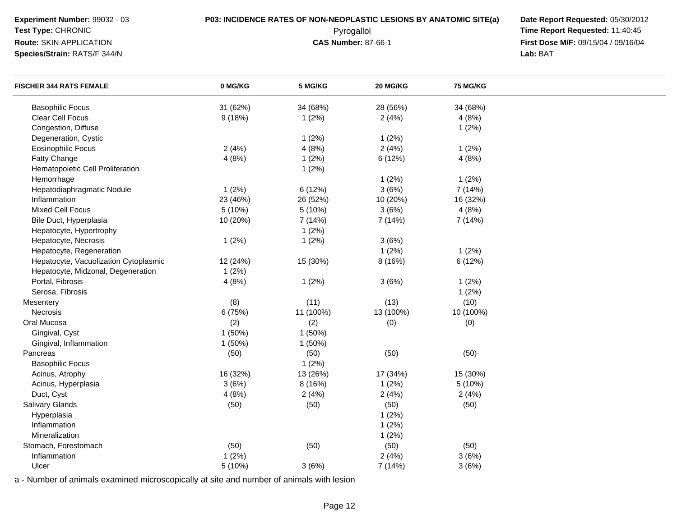| Experiment Number: 99032 - 03  |  |
|--------------------------------|--|
| Test Type: CHRONIC             |  |
| <b>Route: SKIN APPLICATION</b> |  |

### **Species/Strain:** RATS/F 344/N

**P03: INCIDENCE RATES OF NON-NEOPLASTIC LESIONS BY ANATOMIC SITE(a) Date Report Requested: 05/30/2012<br><b>Pyrogallol** Pyrogallol **Fine Report Requested:** 11:40:45 Pyrogallol **Time Report Requested:** 11:40:45 **First Dose M/F:** 09/15/04 / 09/16/04<br>Lab: BAT **Lab:** BAT

| <b>FISCHER 344 RATS FEMALE</b>        | 0 MG/KG  | 5 MG/KG   | 20 MG/KG  | <b>75 MG/KG</b> |  |
|---------------------------------------|----------|-----------|-----------|-----------------|--|
| <b>Basophilic Focus</b>               | 31 (62%) | 34 (68%)  | 28 (56%)  | 34 (68%)        |  |
| Clear Cell Focus                      | 9(18%)   | 1(2%)     | 2(4%)     | 4(8%)           |  |
| Congestion, Diffuse                   |          |           |           | 1(2%)           |  |
| Degeneration, Cystic                  |          | 1(2%)     | 1(2%)     |                 |  |
| <b>Eosinophilic Focus</b>             | 2(4%)    | 4(8%)     | 2(4%)     | 1(2%)           |  |
| Fatty Change                          | 4(8%)    | 1(2%)     | 6 (12%)   | 4(8%)           |  |
| Hematopoietic Cell Proliferation      |          | 1(2%)     |           |                 |  |
| Hemorrhage                            |          |           | 1(2%)     | 1(2%)           |  |
| Hepatodiaphragmatic Nodule            | 1(2%)    | 6(12%)    | 3(6%)     | 7 (14%)         |  |
| Inflammation                          | 23 (46%) | 26 (52%)  | 10 (20%)  | 16 (32%)        |  |
| <b>Mixed Cell Focus</b>               | 5(10%)   | 5(10%)    | 3(6%)     | 4(8%)           |  |
| Bile Duct, Hyperplasia                | 10 (20%) | 7 (14%)   | 7 (14%)   | 7 (14%)         |  |
| Hepatocyte, Hypertrophy               |          | 1(2%)     |           |                 |  |
| Hepatocyte, Necrosis                  | 1(2%)    | 1(2%)     | 3(6%)     |                 |  |
| Hepatocyte, Regeneration              |          |           | 1(2%)     | 1(2%)           |  |
| Hepatocyte, Vacuolization Cytoplasmic | 12 (24%) | 15 (30%)  | 8 (16%)   | 6 (12%)         |  |
| Hepatocyte, Midzonal, Degeneration    | 1(2%)    |           |           |                 |  |
| Portal, Fibrosis                      | 4(8%)    | 1(2%)     | 3(6%)     | 1(2%)           |  |
| Serosa, Fibrosis                      |          |           |           | 1(2%)           |  |
| Mesentery                             | (8)      | (11)      | (13)      | (10)            |  |
| Necrosis                              | 6 (75%)  | 11 (100%) | 13 (100%) | 10 (100%)       |  |
| Oral Mucosa                           | (2)      | (2)       | (0)       | (0)             |  |
| Gingival, Cyst                        | 1(50%)   | 1(50%)    |           |                 |  |
| Gingival, Inflammation                | 1(50%)   | 1(50%)    |           |                 |  |
| Pancreas                              | (50)     | (50)      | (50)      | (50)            |  |
| <b>Basophilic Focus</b>               |          | 1(2%)     |           |                 |  |
| Acinus, Atrophy                       | 16 (32%) | 13 (26%)  | 17 (34%)  | 15 (30%)        |  |
| Acinus, Hyperplasia                   | 3(6%)    | 8(16%)    | 1(2%)     | 5 (10%)         |  |
| Duct, Cyst                            | 4(8%)    | 2(4%)     | 2(4%)     | 2(4%)           |  |
| Salivary Glands                       | (50)     | (50)      | (50)      | (50)            |  |
| Hyperplasia                           |          |           | 1(2%)     |                 |  |
| Inflammation                          |          |           | 1(2%)     |                 |  |
| Mineralization                        |          |           | 1(2%)     |                 |  |
| Stomach, Forestomach                  | (50)     | (50)      | (50)      | (50)            |  |
| Inflammation                          | 1(2%)    |           | 2(4%)     | 3(6%)           |  |
| Ulcer                                 | 5 (10%)  | 3(6%)     | 7 (14%)   | 3(6%)           |  |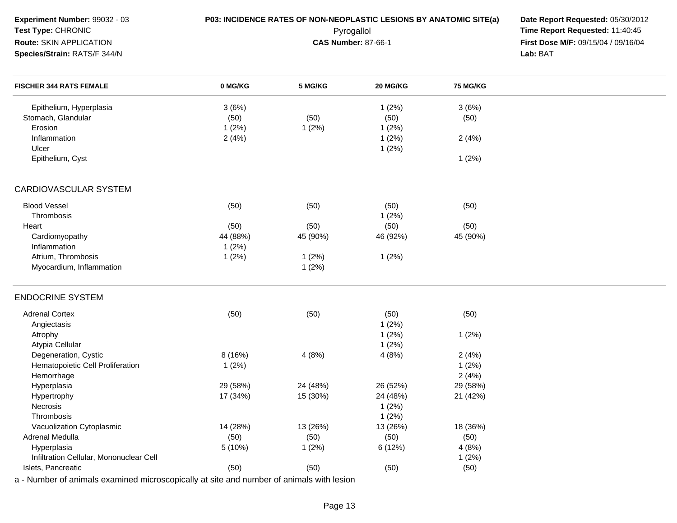| Experiment Number: 99032 - 03                                                            |          | P03: INCIDENCE RATES OF NON-NEOPLASTIC LESIONS BY ANATOMIC SITE(a) | Date Report Requested: 05/30/2012 |                 |                                     |
|------------------------------------------------------------------------------------------|----------|--------------------------------------------------------------------|-----------------------------------|-----------------|-------------------------------------|
| Test Type: CHRONIC                                                                       |          | Pyrogallol                                                         | Time Report Requested: 11:40:45   |                 |                                     |
| Route: SKIN APPLICATION                                                                  |          | <b>CAS Number: 87-66-1</b>                                         |                                   |                 | First Dose M/F: 09/15/04 / 09/16/04 |
| Species/Strain: RATS/F 344/N                                                             |          |                                                                    |                                   |                 | Lab: BAT                            |
|                                                                                          | 0 MG/KG  |                                                                    | 20 MG/KG                          | <b>75 MG/KG</b> |                                     |
| <b>FISCHER 344 RATS FEMALE</b>                                                           |          | 5 MG/KG                                                            |                                   |                 |                                     |
| Epithelium, Hyperplasia                                                                  | 3(6%)    |                                                                    | 1(2%)                             | 3(6%)           |                                     |
| Stomach, Glandular                                                                       | (50)     | (50)                                                               | (50)                              | (50)            |                                     |
| Erosion                                                                                  | 1(2%)    | 1(2%)                                                              | 1(2%)                             |                 |                                     |
| Inflammation                                                                             | 2(4%)    |                                                                    | 1(2%)                             | 2(4%)           |                                     |
| Ulcer                                                                                    |          |                                                                    | 1(2%)                             |                 |                                     |
| Epithelium, Cyst                                                                         |          |                                                                    |                                   | 1(2%)           |                                     |
|                                                                                          |          |                                                                    |                                   |                 |                                     |
| <b>CARDIOVASCULAR SYSTEM</b>                                                             |          |                                                                    |                                   |                 |                                     |
| <b>Blood Vessel</b>                                                                      | (50)     | (50)                                                               | (50)                              | (50)            |                                     |
| Thrombosis                                                                               |          |                                                                    | 1(2%)                             |                 |                                     |
| Heart                                                                                    | (50)     | (50)                                                               | (50)                              | (50)            |                                     |
| Cardiomyopathy                                                                           | 44 (88%) | 45 (90%)                                                           | 46 (92%)                          | 45 (90%)        |                                     |
| Inflammation                                                                             | 1(2%)    |                                                                    |                                   |                 |                                     |
| Atrium, Thrombosis                                                                       | 1(2%)    | 1(2%)                                                              | 1(2%)                             |                 |                                     |
| Myocardium, Inflammation                                                                 |          | 1(2%)                                                              |                                   |                 |                                     |
|                                                                                          |          |                                                                    |                                   |                 |                                     |
| <b>ENDOCRINE SYSTEM</b>                                                                  |          |                                                                    |                                   |                 |                                     |
| <b>Adrenal Cortex</b>                                                                    | (50)     | (50)                                                               | (50)                              | (50)            |                                     |
| Angiectasis                                                                              |          |                                                                    | 1(2%)                             |                 |                                     |
| Atrophy                                                                                  |          |                                                                    | 1(2%)                             | 1(2%)           |                                     |
| Atypia Cellular                                                                          |          |                                                                    | 1(2%)                             |                 |                                     |
| Degeneration, Cystic                                                                     | 8 (16%)  | 4(8%)                                                              | 4(8%)                             | 2(4%)           |                                     |
| Hematopoietic Cell Proliferation                                                         | 1(2%)    |                                                                    |                                   | 1(2%)           |                                     |
| Hemorrhage                                                                               |          |                                                                    |                                   | 2(4%)           |                                     |
| Hyperplasia                                                                              | 29 (58%) | 24 (48%)                                                           | 26 (52%)                          | 29 (58%)        |                                     |
| Hypertrophy                                                                              | 17 (34%) | 15 (30%)                                                           | 24 (48%)                          | 21 (42%)        |                                     |
| <b>Necrosis</b>                                                                          |          |                                                                    | 1 $(2%)$                          |                 |                                     |
| Thrombosis                                                                               |          |                                                                    | 1(2%)                             |                 |                                     |
| Vacuolization Cytoplasmic                                                                | 14 (28%) | 13 (26%)                                                           | 13 (26%)                          | 18 (36%)        |                                     |
| Adrenal Medulla                                                                          | (50)     | (50)                                                               | (50)                              | (50)            |                                     |
| Hyperplasia                                                                              | 5 (10%)  | 1(2%)                                                              | 6(12%)                            | 4(8%)           |                                     |
| Infiltration Cellular, Mononuclear Cell                                                  |          |                                                                    |                                   | 1(2%)           |                                     |
| Islets, Pancreatic                                                                       | (50)     | (50)                                                               | (50)                              | (50)            |                                     |
| a - Number of animals examined microscopically at site and number of animals with lesion |          |                                                                    |                                   |                 |                                     |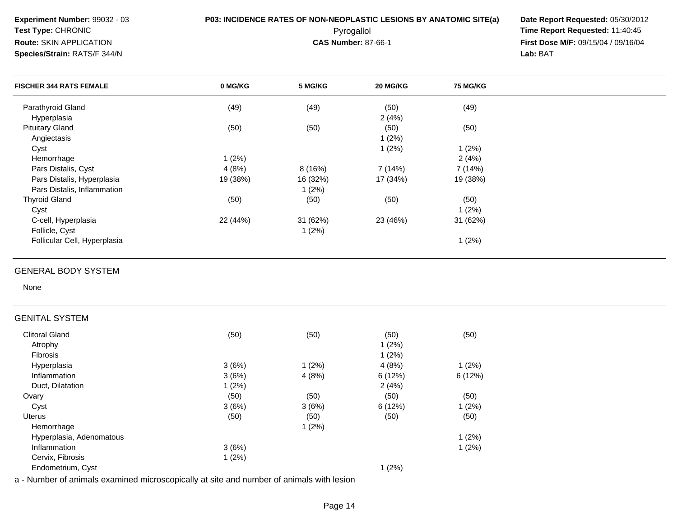Parathyroid Glandd (49) (49) (49) (60) (50) (49) Hyperplasiaa and  $2(4\%)$ Pituitary Glandd (50) (50) (50) (50) (50) (50) (50) Angiectasiss and  $1(2\%)$ Cystt the contract of  $1(2\%)$  1 (2%) **Experiment Number:** 99032 - 03**P03: INCIDENCE RATES OF NON-NEOPLASTIC LESIONS BY ANATOMIC SITE(a) Date Report Requested: 05/30/2012<br>Pyrogallol <b>Prices and Alteration Time Report Requested:** 11:40:45 **Test Type:** CHRONIC Pyrogallol **Time Report Requested:** 11:40:45 **Route:** SKIN APPLICATION**First Dose M/F:** 09/15/04 / 09/16/04 Lab: BAT **Species/Strain:** RATS/F 344/N **Lab:** BAT **FISCHER 344 RATS FEMALE 0 MG/KG5 MG/KG 20 MG/KG 75 MG/KG**

8 (16%) 7 (14%) 7 (14%)

31 (62%)

## GENERAL BODY SYSTEM

None

### GENITAL SYSTEM

Hemorrhage

Thyroid Gland

Follicle, Cyst

Cyst

Pars Distalis, Cyst

C-cell, Hyperplasia

Pars Distalis, Hyperplasia

Pars Distalis, Inflammation

Follicular Cell, Hyperplasia

| Clitoral Gland           | (50)  | (50)  | (50)   | (50)     |
|--------------------------|-------|-------|--------|----------|
| Atrophy                  |       |       | 1(2%)  |          |
| <b>Fibrosis</b>          |       |       | 1(2%)  |          |
| Hyperplasia              | 3(6%) | 1(2%) | 4(8%)  | 1(2%)    |
| Inflammation             | 3(6%) | 4(8%) | 6(12%) | 6(12%)   |
| Duct, Dilatation         | 1(2%) |       | 2(4%)  |          |
| Ovary                    | (50)  | (50)  | (50)   | (50)     |
| Cyst                     | 3(6%) | 3(6%) | 6(12%) | $1(2\%)$ |
| Uterus                   | (50)  | (50)  | (50)   | (50)     |
| Hemorrhage               |       | 1(2%) |        |          |
| Hyperplasia, Adenomatous |       |       |        | 1(2%)    |
| Inflammation             | 3(6%) |       |        | 1(2%)    |
| Cervix, Fibrosis         | 1(2%) |       |        |          |
| Endometrium, Cyst        |       |       | 1(2%)  |          |

e and  $1 (2%)$  and  $1 (2%)$  and  $2 (4%)$ 

d (50) (50) (50) (50) (50) (50) (50)

t the contract of  $1(2\%)$ 

19 (38%) 16 (32%) 17 (34%) 19 (38%)

a the contract of  $1(2\%)$ 

22 (44%) 31 (62%) 23 (46%) 31 (62%)

4 (8%)

n  $1(2\%)$ 

t the contract of  $1(2\%)$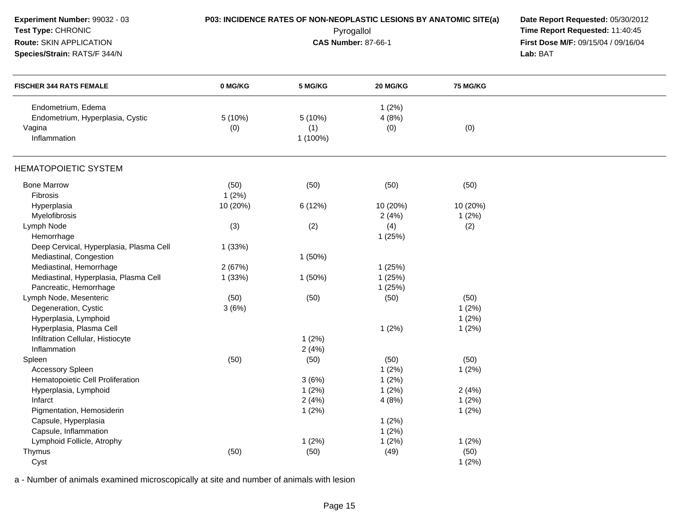| Experiment Number: 99032 - 03<br>Test Type: CHRONIC<br>Route: SKIN APPLICATION<br>Species/Strain: RATS/F 344/N |          | P03: INCIDENCE RATES OF NON-NEOPLASTIC LESIONS BY ANATOMIC SITE(a)<br>Pyrogallol<br><b>CAS Number: 87-66-1</b> | Date Report Requested: 05/30/2012<br>Time Report Requested: 11:40:45<br>First Dose M/F: 09/15/04 / 09/16/04<br>Lab: BAT |                 |  |
|----------------------------------------------------------------------------------------------------------------|----------|----------------------------------------------------------------------------------------------------------------|-------------------------------------------------------------------------------------------------------------------------|-----------------|--|
| <b>FISCHER 344 RATS FEMALE</b>                                                                                 | 0 MG/KG  | 5 MG/KG                                                                                                        | 20 MG/KG                                                                                                                | <b>75 MG/KG</b> |  |
| Endometrium, Edema                                                                                             |          |                                                                                                                | 1(2%)                                                                                                                   |                 |  |
| Endometrium, Hyperplasia, Cystic                                                                               | 5 (10%)  | 5(10%)                                                                                                         | 4(8%)                                                                                                                   |                 |  |
| Vagina                                                                                                         | (0)      | (1)                                                                                                            | (0)                                                                                                                     | (0)             |  |
| Inflammation                                                                                                   |          | 1 (100%)                                                                                                       |                                                                                                                         |                 |  |
| <b>HEMATOPOIETIC SYSTEM</b>                                                                                    |          |                                                                                                                |                                                                                                                         |                 |  |
| <b>Bone Marrow</b>                                                                                             | (50)     | (50)                                                                                                           | (50)                                                                                                                    | (50)            |  |
| Fibrosis                                                                                                       | 1(2%)    |                                                                                                                |                                                                                                                         |                 |  |
| Hyperplasia                                                                                                    | 10 (20%) | 6(12%)                                                                                                         | 10 (20%)                                                                                                                | 10 (20%)        |  |
| Myelofibrosis                                                                                                  |          |                                                                                                                | 2(4%)                                                                                                                   | 1(2%)           |  |
| Lymph Node                                                                                                     | (3)      | (2)                                                                                                            | (4)                                                                                                                     | (2)             |  |
| Hemorrhage                                                                                                     |          |                                                                                                                | 1(25%)                                                                                                                  |                 |  |
| Deep Cervical, Hyperplasia, Plasma Cell                                                                        | 1(33%)   |                                                                                                                |                                                                                                                         |                 |  |
| Mediastinal, Congestion                                                                                        |          | 1(50%)                                                                                                         |                                                                                                                         |                 |  |
| Mediastinal, Hemorrhage                                                                                        | 2(67%)   |                                                                                                                | 1(25%)                                                                                                                  |                 |  |
| Mediastinal, Hyperplasia, Plasma Cell                                                                          | 1(33%)   | 1(50%)                                                                                                         | 1(25%)                                                                                                                  |                 |  |
| Pancreatic, Hemorrhage                                                                                         |          |                                                                                                                | 1(25%)                                                                                                                  |                 |  |
| Lymph Node, Mesenteric                                                                                         | (50)     | (50)                                                                                                           | (50)                                                                                                                    | (50)            |  |
| Degeneration, Cystic                                                                                           | 3(6%)    |                                                                                                                |                                                                                                                         | 1(2%)           |  |
| Hyperplasia, Lymphoid                                                                                          |          |                                                                                                                |                                                                                                                         | 1(2%)           |  |
| Hyperplasia, Plasma Cell                                                                                       |          |                                                                                                                | 1(2%)                                                                                                                   | 1(2%)           |  |
| Infiltration Cellular, Histiocyte                                                                              |          | 1(2%)                                                                                                          |                                                                                                                         |                 |  |
| Inflammation                                                                                                   |          | 2(4%)                                                                                                          |                                                                                                                         |                 |  |
| Spleen                                                                                                         | (50)     | (50)                                                                                                           | (50)                                                                                                                    | (50)            |  |
| <b>Accessory Spleen</b>                                                                                        |          |                                                                                                                | 1(2%)                                                                                                                   | 1(2%)           |  |
| Hematopoietic Cell Proliferation                                                                               |          | 3(6%)                                                                                                          | 1(2%)                                                                                                                   |                 |  |
| Hyperplasia, Lymphoid                                                                                          |          | 1(2%)                                                                                                          | 1(2%)                                                                                                                   | 2(4%)           |  |
| Infarct                                                                                                        |          | 2(4%)                                                                                                          | 4(8%)                                                                                                                   | 1(2%)           |  |
| Pigmentation, Hemosiderin                                                                                      |          | 1(2%)                                                                                                          |                                                                                                                         | 1(2%)           |  |
| Capsule, Hyperplasia                                                                                           |          |                                                                                                                | 1(2%)                                                                                                                   |                 |  |
| Capsule, Inflammation                                                                                          |          |                                                                                                                | 1(2%)                                                                                                                   |                 |  |
| Lymphoid Follicle, Atrophy                                                                                     |          | 1(2%)                                                                                                          | 1(2%)                                                                                                                   | 1(2%)           |  |
| Thymus                                                                                                         | (50)     | (50)                                                                                                           | (49)                                                                                                                    | (50)            |  |
| Cyst                                                                                                           |          |                                                                                                                |                                                                                                                         | 1(2%)           |  |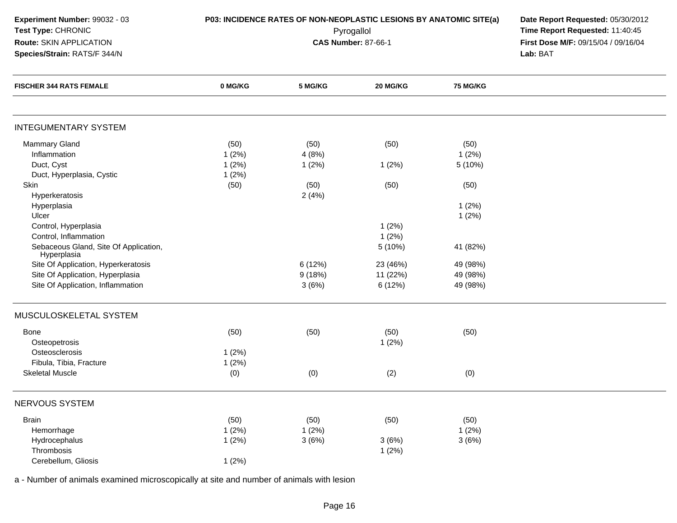| Experiment Number: 99032 - 03<br>Test Type: CHRONIC<br>Route: SKIN APPLICATION<br>Species/Strain: RATS/F 344/N |         |         | Pyrogallol<br><b>CAS Number: 87-66-1</b> | P03: INCIDENCE RATES OF NON-NEOPLASTIC LESIONS BY ANATOMIC SITE(a)<br>Date Report Requested: 05/30/2012<br>Time Report Requested: 11:40:45<br>First Dose M/F: 09/15/04 / 09/16/04<br>Lab: BAT |  |  |
|----------------------------------------------------------------------------------------------------------------|---------|---------|------------------------------------------|-----------------------------------------------------------------------------------------------------------------------------------------------------------------------------------------------|--|--|
| <b>FISCHER 344 RATS FEMALE</b>                                                                                 | 0 MG/KG | 5 MG/KG | 20 MG/KG                                 | 75 MG/KG                                                                                                                                                                                      |  |  |
| <b>INTEGUMENTARY SYSTEM</b>                                                                                    |         |         |                                          |                                                                                                                                                                                               |  |  |
| <b>Mammary Gland</b>                                                                                           | (50)    | (50)    | (50)                                     | (50)                                                                                                                                                                                          |  |  |
| Inflammation                                                                                                   | 1(2%)   | 4(8%)   |                                          | 1(2%)                                                                                                                                                                                         |  |  |
| Duct, Cyst                                                                                                     | 1(2%)   | 1(2%)   | 1(2%)                                    | 5 (10%)                                                                                                                                                                                       |  |  |
| Duct, Hyperplasia, Cystic                                                                                      | 1(2%)   |         |                                          |                                                                                                                                                                                               |  |  |
| Skin                                                                                                           | (50)    | (50)    | (50)                                     | (50)                                                                                                                                                                                          |  |  |
| Hyperkeratosis                                                                                                 |         | 2(4%)   |                                          |                                                                                                                                                                                               |  |  |
| Hyperplasia                                                                                                    |         |         |                                          | 1(2%)                                                                                                                                                                                         |  |  |
| Ulcer                                                                                                          |         |         |                                          | 1(2%)                                                                                                                                                                                         |  |  |
| Control, Hyperplasia                                                                                           |         |         | 1(2%)                                    |                                                                                                                                                                                               |  |  |
| Control, Inflammation                                                                                          |         |         | 1(2%)                                    |                                                                                                                                                                                               |  |  |
| Sebaceous Gland, Site Of Application,<br>Hyperplasia                                                           |         |         | 5 (10%)                                  | 41 (82%)                                                                                                                                                                                      |  |  |
| Site Of Application, Hyperkeratosis                                                                            |         | 6(12%)  | 23 (46%)                                 | 49 (98%)                                                                                                                                                                                      |  |  |
| Site Of Application, Hyperplasia                                                                               |         | 9(18%)  | 11 (22%)                                 | 49 (98%)                                                                                                                                                                                      |  |  |
| Site Of Application, Inflammation                                                                              |         | 3(6%)   | 6 (12%)                                  | 49 (98%)                                                                                                                                                                                      |  |  |
| MUSCULOSKELETAL SYSTEM                                                                                         |         |         |                                          |                                                                                                                                                                                               |  |  |
| Bone                                                                                                           | (50)    | (50)    | (50)                                     | (50)                                                                                                                                                                                          |  |  |
| Osteopetrosis                                                                                                  |         |         | 1(2%)                                    |                                                                                                                                                                                               |  |  |
| Osteosclerosis                                                                                                 | 1(2%)   |         |                                          |                                                                                                                                                                                               |  |  |
| Fibula, Tibia, Fracture                                                                                        | 1(2%)   |         |                                          |                                                                                                                                                                                               |  |  |
| <b>Skeletal Muscle</b>                                                                                         | (0)     | (0)     | (2)                                      | (0)                                                                                                                                                                                           |  |  |
| NERVOUS SYSTEM                                                                                                 |         |         |                                          |                                                                                                                                                                                               |  |  |
| <b>Brain</b>                                                                                                   | (50)    | (50)    | (50)                                     | (50)                                                                                                                                                                                          |  |  |
| Hemorrhage                                                                                                     | 1(2%)   | 1(2%)   |                                          | 1(2%)                                                                                                                                                                                         |  |  |
| Hydrocephalus                                                                                                  | 1(2%)   | 3(6%)   | 3(6%)                                    | 3(6%)                                                                                                                                                                                         |  |  |
| Thrombosis                                                                                                     |         |         | 1(2%)                                    |                                                                                                                                                                                               |  |  |
| Cerebellum, Gliosis                                                                                            | 1(2%)   |         |                                          |                                                                                                                                                                                               |  |  |
|                                                                                                                |         |         |                                          |                                                                                                                                                                                               |  |  |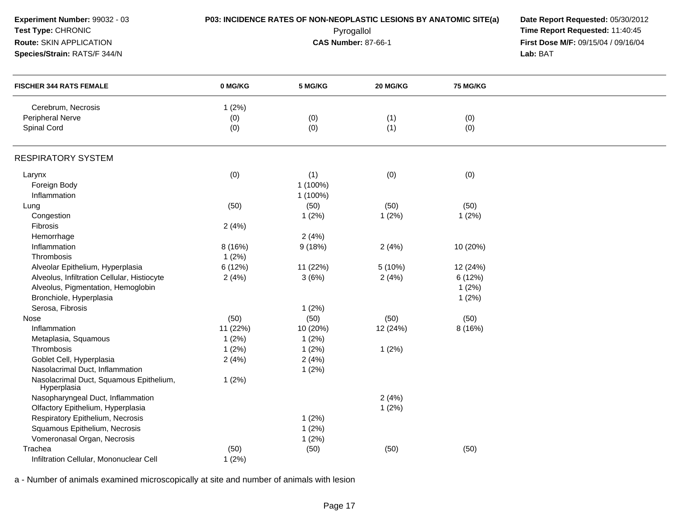| Experiment Number: 99032 - 03<br>Test Type: CHRONIC<br>Route: SKIN APPLICATION<br>Species/Strain: RATS/F 344/N |          | P03: INCIDENCE RATES OF NON-NEOPLASTIC LESIONS BY ANATOMIC SITE(a)<br>Pyrogallol<br><b>CAS Number: 87-66-1</b> |          |          | Date Report Requested: 05/30/2012<br>Time Report Requested: 11:40:45<br>First Dose M/F: 09/15/04 / 09/16/04<br>Lab: BAT |
|----------------------------------------------------------------------------------------------------------------|----------|----------------------------------------------------------------------------------------------------------------|----------|----------|-------------------------------------------------------------------------------------------------------------------------|
| <b>FISCHER 344 RATS FEMALE</b>                                                                                 | 0 MG/KG  | 5 MG/KG                                                                                                        | 20 MG/KG | 75 MG/KG |                                                                                                                         |
| Cerebrum, Necrosis                                                                                             | 1(2%)    |                                                                                                                |          |          |                                                                                                                         |
| <b>Peripheral Nerve</b>                                                                                        | (0)      | (0)                                                                                                            | (1)      | (0)      |                                                                                                                         |
| Spinal Cord                                                                                                    | (0)      | (0)                                                                                                            | (1)      | (0)      |                                                                                                                         |
| <b>RESPIRATORY SYSTEM</b>                                                                                      |          |                                                                                                                |          |          |                                                                                                                         |
| Larynx                                                                                                         | (0)      | (1)                                                                                                            | (0)      | (0)      |                                                                                                                         |
| Foreign Body                                                                                                   |          | 1 (100%)                                                                                                       |          |          |                                                                                                                         |
| Inflammation                                                                                                   |          | 1 (100%)                                                                                                       |          |          |                                                                                                                         |
| Lung                                                                                                           | (50)     | (50)                                                                                                           | (50)     | (50)     |                                                                                                                         |
| Congestion                                                                                                     |          | 1(2%)                                                                                                          | 1(2%)    | 1(2%)    |                                                                                                                         |
| Fibrosis                                                                                                       | 2(4%)    |                                                                                                                |          |          |                                                                                                                         |
| Hemorrhage                                                                                                     |          | 2(4%)                                                                                                          |          |          |                                                                                                                         |
| Inflammation                                                                                                   | 8 (16%)  | 9(18%)                                                                                                         | 2(4%)    | 10 (20%) |                                                                                                                         |
| Thrombosis                                                                                                     | 1(2%)    |                                                                                                                |          |          |                                                                                                                         |
| Alveolar Epithelium, Hyperplasia                                                                               | 6 (12%)  | 11 (22%)                                                                                                       | 5 (10%)  | 12 (24%) |                                                                                                                         |
| Alveolus, Infiltration Cellular, Histiocyte                                                                    | 2(4%)    | 3(6%)                                                                                                          | 2(4%)    | 6(12%)   |                                                                                                                         |
| Alveolus, Pigmentation, Hemoglobin                                                                             |          |                                                                                                                |          | 1(2%)    |                                                                                                                         |
| Bronchiole, Hyperplasia                                                                                        |          |                                                                                                                |          | 1(2%)    |                                                                                                                         |
| Serosa, Fibrosis                                                                                               |          | 1(2%)                                                                                                          |          |          |                                                                                                                         |
| Nose                                                                                                           | (50)     | (50)                                                                                                           | (50)     | (50)     |                                                                                                                         |
| Inflammation                                                                                                   | 11 (22%) | 10 (20%)                                                                                                       | 12 (24%) | 8(16%)   |                                                                                                                         |
| Metaplasia, Squamous                                                                                           | 1(2%)    | 1(2%)                                                                                                          |          |          |                                                                                                                         |
| Thrombosis                                                                                                     | 1(2%)    | 1(2%)                                                                                                          | 1(2%)    |          |                                                                                                                         |
| Goblet Cell, Hyperplasia                                                                                       | 2(4%)    | 2(4%)                                                                                                          |          |          |                                                                                                                         |
| Nasolacrimal Duct, Inflammation                                                                                |          | 1(2%)                                                                                                          |          |          |                                                                                                                         |
| Nasolacrimal Duct, Squamous Epithelium,<br>Hyperplasia                                                         | 1(2%)    |                                                                                                                |          |          |                                                                                                                         |
| Nasopharyngeal Duct, Inflammation                                                                              |          |                                                                                                                | 2(4%)    |          |                                                                                                                         |
| Olfactory Epithelium, Hyperplasia                                                                              |          |                                                                                                                | 1(2%)    |          |                                                                                                                         |
| Respiratory Epithelium, Necrosis                                                                               |          | 1(2%)                                                                                                          |          |          |                                                                                                                         |
| Squamous Epithelium, Necrosis                                                                                  |          | 1(2%)                                                                                                          |          |          |                                                                                                                         |
| Vomeronasal Organ, Necrosis                                                                                    |          | 1(2%)                                                                                                          |          |          |                                                                                                                         |
| Trachea                                                                                                        | (50)     | (50)                                                                                                           | (50)     | (50)     |                                                                                                                         |
| Infiltration Cellular, Mononuclear Cell                                                                        | 1(2%)    |                                                                                                                |          |          |                                                                                                                         |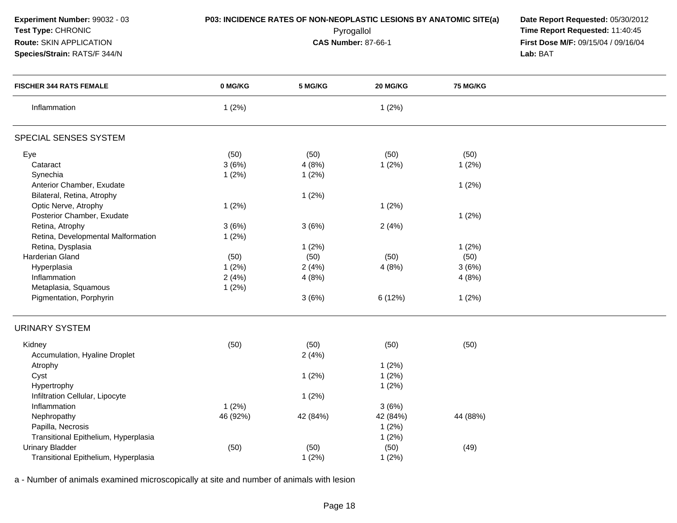**Experiment Number:** 99032 - 03**Test Type:** CHRONIC

### **Route:** SKIN APPLICATION

**Species/Strain:** RATS/F 344/N

**P03: INCIDENCE RATES OF NON-NEOPLASTIC LESIONS BY ANATOMIC SITE(a) Date Report Requested: 05/30/2012<br><b>Pyrogallol** Pyrogallol **Fine Report Requested:** 11:40:45 Pyrogallol **Time Report Requested:** 11:40:45 **First Dose M/F:** 09/15/04 / 09/16/04<br>Lab: BAT **Lab:** BAT

| <b>FISCHER 344 RATS FEMALE</b>       | 0 MG/KG  | 5 MG/KG  | 20 MG/KG | <b>75 MG/KG</b> |  |
|--------------------------------------|----------|----------|----------|-----------------|--|
| Inflammation                         | 1(2%)    |          | 1(2%)    |                 |  |
| SPECIAL SENSES SYSTEM                |          |          |          |                 |  |
| Eye                                  | (50)     | (50)     | (50)     | (50)            |  |
| Cataract                             | 3(6%)    | 4(8%)    | 1(2%)    | 1(2%)           |  |
| Synechia                             | 1(2%)    | 1(2%)    |          |                 |  |
| Anterior Chamber, Exudate            |          |          |          | 1(2%)           |  |
| Bilateral, Retina, Atrophy           |          | 1(2%)    |          |                 |  |
| Optic Nerve, Atrophy                 | 1(2%)    |          | 1(2%)    |                 |  |
| Posterior Chamber, Exudate           |          |          |          | 1(2%)           |  |
| Retina, Atrophy                      | 3(6%)    | 3(6%)    | 2(4%)    |                 |  |
| Retina, Developmental Malformation   | 1(2%)    |          |          |                 |  |
| Retina, Dysplasia                    |          | 1(2%)    |          | 1(2%)           |  |
| Harderian Gland                      | (50)     | (50)     | (50)     | (50)            |  |
| Hyperplasia                          | 1(2%)    | 2(4%)    | 4(8%)    | 3(6%)           |  |
| Inflammation                         | 2(4%)    | 4(8%)    |          | 4(8%)           |  |
| Metaplasia, Squamous                 | 1(2%)    |          |          |                 |  |
| Pigmentation, Porphyrin              |          | 3(6%)    | 6(12%)   | 1(2%)           |  |
| <b>URINARY SYSTEM</b>                |          |          |          |                 |  |
| Kidney                               | (50)     | (50)     | (50)     | (50)            |  |
| Accumulation, Hyaline Droplet        |          | 2(4%)    |          |                 |  |
| Atrophy                              |          |          | 1(2%)    |                 |  |
| Cyst                                 |          | 1(2%)    | 1(2%)    |                 |  |
| Hypertrophy                          |          |          | 1(2%)    |                 |  |
| Infiltration Cellular, Lipocyte      |          | 1(2%)    |          |                 |  |
| Inflammation                         | $1(2\%)$ |          | 3(6%)    |                 |  |
| Nephropathy                          | 46 (92%) | 42 (84%) | 42 (84%) | 44 (88%)        |  |
| Papilla, Necrosis                    |          |          | 1(2%)    |                 |  |
| Transitional Epithelium, Hyperplasia |          |          | 1(2%)    |                 |  |
| <b>Urinary Bladder</b>               | (50)     | (50)     | (50)     | (49)            |  |
| Transitional Epithelium, Hyperplasia |          | 1(2%)    | 1(2%)    |                 |  |